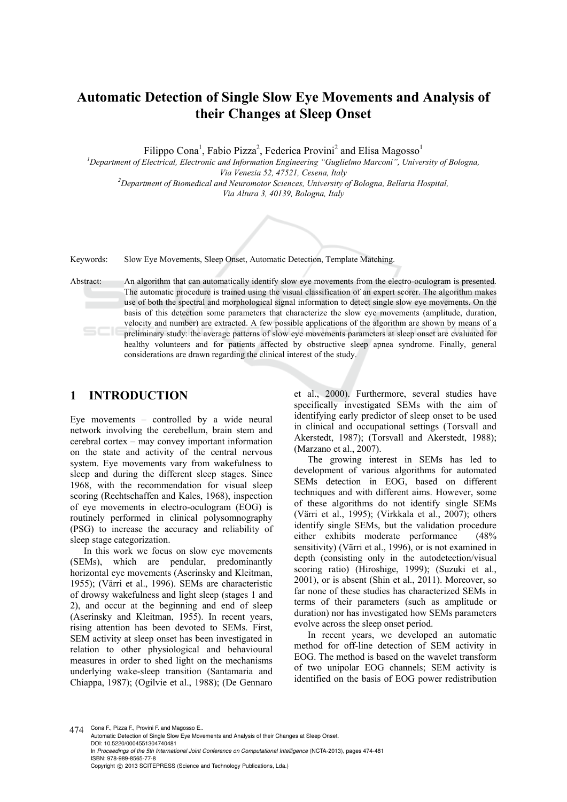# **Automatic Detection of Single Slow Eye Movements and Analysis of their Changes at Sleep Onset**

Filippo Cona<sup>1</sup>, Fabio Pizza<sup>2</sup>, Federica Provini<sup>2</sup> and Elisa Magosso<sup>1</sup>

<sup>1</sup> Department of Electrical, Electronic and Information Engineering "Guglielmo Marconi", University of Bologna, *Via Venezia 52, 47521, Cesena, Italy 2 Department of Biomedical and Neuromotor Sciences, University of Bologna, Bellaria Hospital,* 

*Via Altura 3, 40139, Bologna, Italy* 

Keywords: Slow Eye Movements, Sleep Onset, Automatic Detection, Template Matching.

Abstract: An algorithm that can automatically identify slow eye movements from the electro-oculogram is presented. The automatic procedure is trained using the visual classification of an expert scorer. The algorithm makes use of both the spectral and morphological signal information to detect single slow eye movements. On the basis of this detection some parameters that characterize the slow eye movements (amplitude, duration, velocity and number) are extracted. A few possible applications of the algorithm are shown by means of a preliminary study: the average patterns of slow eye movements parameters at sleep onset are evaluated for healthy volunteers and for patients affected by obstructive sleep apnea syndrome. Finally, general considerations are drawn regarding the clinical interest of the study.

## **1 INTRODUCTION**

Eye movements – controlled by a wide neural network involving the cerebellum, brain stem and cerebral cortex – may convey important information on the state and activity of the central nervous system. Eye movements vary from wakefulness to sleep and during the different sleep stages. Since 1968, with the recommendation for visual sleep scoring (Rechtschaffen and Kales, 1968), inspection of eye movements in electro-oculogram (EOG) is routinely performed in clinical polysomnography (PSG) to increase the accuracy and reliability of sleep stage categorization.

In this work we focus on slow eye movements (SEMs), which are pendular, predominantly horizontal eye movements (Aserinsky and Kleitman, 1955); (Värri et al., 1996). SEMs are characteristic of drowsy wakefulness and light sleep (stages 1 and 2), and occur at the beginning and end of sleep (Aserinsky and Kleitman, 1955). In recent years, rising attention has been devoted to SEMs. First, SEM activity at sleep onset has been investigated in relation to other physiological and behavioural measures in order to shed light on the mechanisms underlying wake-sleep transition (Santamaria and Chiappa, 1987); (Ogilvie et al., 1988); (De Gennaro

et al., 2000). Furthermore, several studies have specifically investigated SEMs with the aim of identifying early predictor of sleep onset to be used in clinical and occupational settings (Torsvall and Akerstedt, 1987); (Torsvall and Akerstedt, 1988); (Marzano et al., 2007).

The growing interest in SEMs has led to development of various algorithms for automated SEMs detection in EOG, based on different techniques and with different aims. However, some of these algorithms do not identify single SEMs (Värri et al., 1995); (Virkkala et al., 2007); others identify single SEMs, but the validation procedure either exhibits moderate performance (48% sensitivity) (Värri et al., 1996), or is not examined in depth (consisting only in the autodetection/visual scoring ratio) (Hiroshige, 1999); (Suzuki et al., 2001), or is absent (Shin et al., 2011). Moreover, so far none of these studies has characterized SEMs in terms of their parameters (such as amplitude or duration) nor has investigated how SEMs parameters evolve across the sleep onset period.

In recent years, we developed an automatic method for off-line detection of SEM activity in EOG. The method is based on the wavelet transform of two unipolar EOG channels; SEM activity is identified on the basis of EOG power redistribution

474 Cona F., Pizza F., Provini F. and Magosso E..

Automatic Detection of Single Slow Eye Movements and Analysis of their Changes at Sleep Onset. DOI: 10.5220/0004551304740481 In *Proceedings of the 5th International Joint Conference on Computational Intelligence* (NCTA-2013), pages 474-481 ISBN: 978-989-8565-77-8 Copyright © 2013 SCITEPRESS (Science and Technology Publications, Lda.)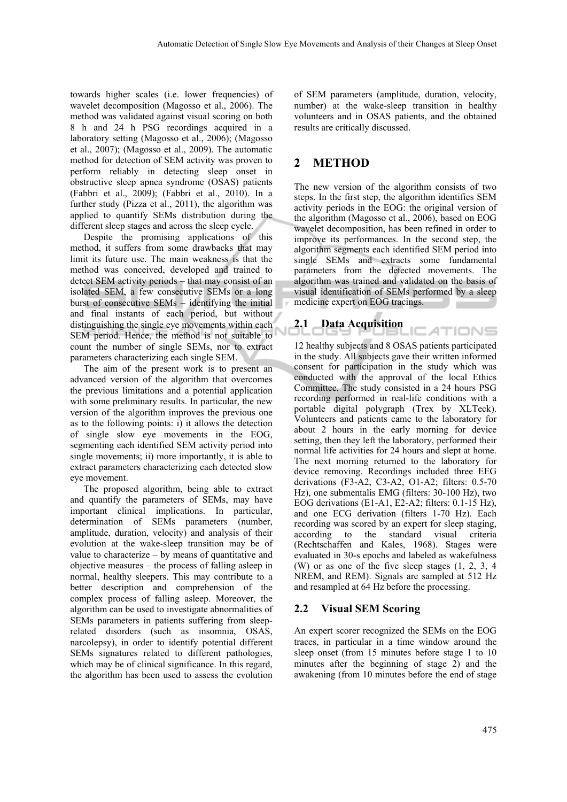towards higher scales (i.e. lower frequencies) of wavelet decomposition (Magosso et al., 2006). The method was validated against visual scoring on both 8 h and 24 h PSG recordings acquired in a laboratory setting (Magosso et al., 2006); (Magosso et al., 2007); (Magosso et al., 2009). The automatic method for detection of SEM activity was proven to perform reliably in detecting sleep onset in obstructive sleep apnea syndrome (OSAS) patients (Fabbri et al., 2009); (Fabbri et al., 2010). In a further study (Pizza et al., 2011), the algorithm was applied to quantify SEMs distribution during the different sleep stages and across the sleep cycle.

Despite the promising applications of this method, it suffers from some drawbacks that may limit its future use. The main weakness is that the method was conceived, developed and trained to detect SEM activity periods – that may consist of an isolated SEM, a few consecutive SEMs or a long burst of consecutive SEMs – identifying the initial and final instants of each period, but without distinguishing the single eye movements within each SEM period. Hence, the method is not suitable to count the number of single SEMs, nor to extract parameters characterizing each single SEM.

The aim of the present work is to present an advanced version of the algorithm that overcomes the previous limitations and a potential application with some preliminary results. In particular, the new version of the algorithm improves the previous one as to the following points: i) it allows the detection of single slow eye movements in the EOG, segmenting each identified SEM activity period into single movements; ii) more importantly, it is able to extract parameters characterizing each detected slow eye movement.

The proposed algorithm, being able to extract and quantify the parameters of SEMs, may have important clinical implications. In particular, determination of SEMs parameters (number, amplitude, duration, velocity) and analysis of their evolution at the wake-sleep transition may be of value to characterize – by means of quantitative and objective measures – the process of falling asleep in normal, healthy sleepers. This may contribute to a better description and comprehension of the complex process of falling asleep. Moreover, the algorithm can be used to investigate abnormalities of SEMs parameters in patients suffering from sleeprelated disorders (such as insomnia, OSAS, narcolepsy), in order to identify potential different SEMs signatures related to different pathologies, which may be of clinical significance. In this regard, the algorithm has been used to assess the evolution

of SEM parameters (amplitude, duration, velocity, number) at the wake-sleep transition in healthy volunteers and in OSAS patients, and the obtained results are critically discussed.

## **2 METHOD**

The new version of the algorithm consists of two steps. In the first step, the algorithm identifies SEM activity periods in the EOG: the original version of the algorithm (Magosso et al., 2006), based on EOG wavelet decomposition, has been refined in order to improve its performances. In the second step, the algorithm segments each identified SEM period into single SEMs and extracts some fundamental parameters from the detected movements. The algorithm was trained and validated on the basis of visual identification of SEMs performed by a sleep medicine expert on EOG tracings.

'IONS

## **2.1 Data Acquisition**

12 healthy subjects and 8 OSAS patients participated in the study. All subjects gave their written informed consent for participation in the study which was conducted with the approval of the local Ethics Committee. The study consisted in a 24 hours PSG recording performed in real-life conditions with a portable digital polygraph (Trex by XLTeck). Volunteers and patients came to the laboratory for about 2 hours in the early morning for device setting, then they left the laboratory, performed their normal life activities for 24 hours and slept at home. The next morning returned to the laboratory for device removing. Recordings included three EEG derivations (F3-A2, C3-A2, O1-A2; filters: 0.5-70 Hz), one submentalis EMG (filters: 30-100 Hz), two EOG derivations (E1-A1, E2-A2; filters: 0.1-15 Hz), and one ECG derivation (filters 1-70 Hz). Each recording was scored by an expert for sleep staging, according to the standard visual criteria (Rechtschaffen and Kales, 1968). Stages were evaluated in 30-s epochs and labeled as wakefulness (W) or as one of the five sleep stages (1, 2, 3, 4 NREM, and REM). Signals are sampled at 512 Hz and resampled at 64 Hz before the processing.

## **2.2 Visual SEM Scoring**

An expert scorer recognized the SEMs on the EOG traces, in particular in a time window around the sleep onset (from 15 minutes before stage 1 to 10 minutes after the beginning of stage 2) and the awakening (from 10 minutes before the end of stage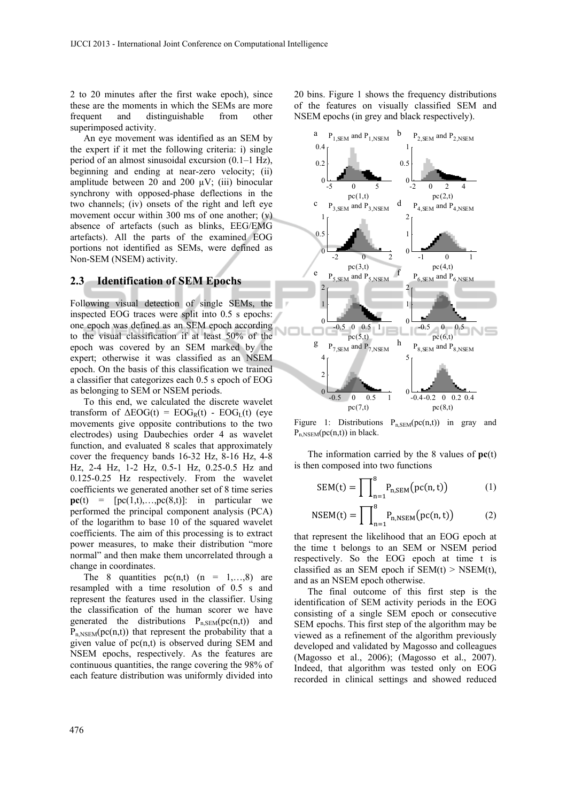2 to 20 minutes after the first wake epoch), since these are the moments in which the SEMs are more frequent and distinguishable from other superimposed activity.

An eye movement was identified as an SEM by the expert if it met the following criteria: i) single period of an almost sinusoidal excursion (0.1–1 Hz), beginning and ending at near-zero velocity; (ii) amplitude between 20 and 200  $\mu$ V; (iii) binocular synchrony with opposed-phase deflections in the two channels; (iv) onsets of the right and left eye movement occur within 300 ms of one another; (v) absence of artefacts (such as blinks, EEG/EMG artefacts). All the parts of the examined EOG portions not identified as SEMs, were defined as Non-SEM (NSEM) activity.

#### **2.3 Identification of SEM Epochs**

Following visual detection of single SEMs, the inspected EOG traces were split into 0.5 s epochs: one epoch was defined as an SEM epoch according to the visual classification if at least 50% of the epoch was covered by an SEM marked by the expert; otherwise it was classified as an NSEM epoch. On the basis of this classification we trained a classifier that categorizes each 0.5 s epoch of EOG as belonging to SEM or NSEM periods.

To this end, we calculated the discrete wavelet transform of  $\Delta EOG(t) = EOG<sub>R</sub>(t) - EOG<sub>L</sub>(t)$  (eye movements give opposite contributions to the two electrodes) using Daubechies order 4 as wavelet function, and evaluated 8 scales that approximately cover the frequency bands 16-32 Hz, 8-16 Hz, 4-8 Hz, 2-4 Hz, 1-2 Hz, 0.5-1 Hz, 0.25-0.5 Hz and 0.125-0.25 Hz respectively. From the wavelet coefficients we generated another set of 8 time series  $pc(t) = [pc(1,t),...,pc(8,t)]$ : in particular we performed the principal component analysis (PCA) of the logarithm to base 10 of the squared wavelet coefficients. The aim of this processing is to extract power measures, to make their distribution "more normal" and then make them uncorrelated through a change in coordinates.

The 8 quantities  $pc(n,t)$  (n = 1,...,8) are resampled with a time resolution of 0.5 s and represent the features used in the classifier. Using the classification of the human scorer we have generated the distributions  $P_{n,SEM}(pc(n,t))$  and  $\overline{P}_{n,NSEM}(pc(n,t))$  that represent the probability that a given value of pc(n,t) is observed during SEM and NSEM epochs, respectively. As the features are continuous quantities, the range covering the 98% of each feature distribution was uniformly divided into

20 bins. Figure 1 shows the frequency distributions of the features on visually classified SEM and NSEM epochs (in grey and black respectively).



Figure 1: Distributions  $P_{n,SEM}(pc(n,t))$  in gray and  $P_{n,NSEM}(pc(n,t))$  in black.

The information carried by the 8 values of **pc**(t) is then composed into two functions

$$
SEM(t) = \prod_{n=1}^{8} P_{n,SEM}(pc(n,t))
$$
 (1)

$$
NSEM(t) = \prod_{n=1}^{8} P_{n,NSEM}(pc(n,t))
$$
 (2)

that represent the likelihood that an EOG epoch at the time t belongs to an SEM or NSEM period respectively. So the EOG epoch at time t is classified as an SEM epoch if  $SEM(t) > NSEM(t)$ , and as an NSEM epoch otherwise.

The final outcome of this first step is the identification of SEM activity periods in the EOG consisting of a single SEM epoch or consecutive SEM epochs. This first step of the algorithm may be viewed as a refinement of the algorithm previously developed and validated by Magosso and colleagues (Magosso et al., 2006); (Magosso et al., 2007). Indeed, that algorithm was tested only on EOG recorded in clinical settings and showed reduced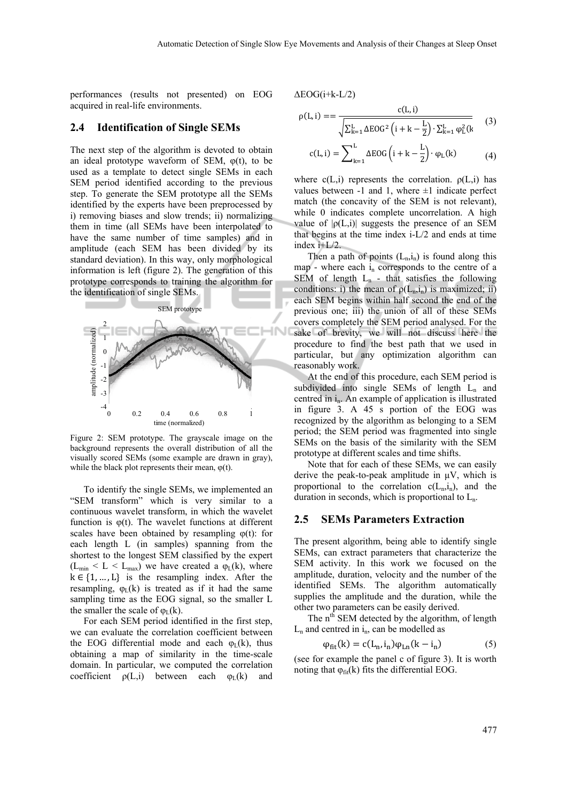performances (results not presented) on EOG acquired in real-life environments.

#### **2.4 Identification of Single SEMs**

The next step of the algorithm is devoted to obtain an ideal prototype waveform of SEM,  $\varphi(t)$ , to be used as a template to detect single SEMs in each SEM period identified according to the previous step. To generate the SEM prototype all the SEMs identified by the experts have been preprocessed by i) removing biases and slow trends; ii) normalizing them in time (all SEMs have been interpolated to have the same number of time samples) and in amplitude (each SEM has been divided by its standard deviation). In this way, only morphological information is left (figure 2). The generation of this prototype corresponds to training the algorithm for the identification of single SEMs.



Figure 2: SEM prototype. The grayscale image on the background represents the overall distribution of all the visually scored SEMs (some example are drawn in gray), while the black plot represents their mean,  $\varphi(t)$ .

To identify the single SEMs, we implemented an "SEM transform" which is very similar to a continuous wavelet transform, in which the wavelet function is  $\varphi(t)$ . The wavelet functions at different scales have been obtained by resampling  $\varphi(t)$ : for each length L (in samples) spanning from the shortest to the longest SEM classified by the expert  $(L_{min} < L < L_{max})$  we have created a  $\varphi_L(k)$ , where  $k \in \{1, ..., L\}$  is the resampling index. After the resampling,  $\varphi_L(k)$  is treated as if it had the same sampling time as the EOG signal, so the smaller L the smaller the scale of  $\varphi_L(k)$ .

For each SEM period identified in the first step, we can evaluate the correlation coefficient between the EOG differential mode and each  $\varphi_L(k)$ , thus obtaining a map of similarity in the time-scale domain. In particular, we computed the correlation coefficient  $\rho(L,i)$  between each  $\varphi_L(k)$  and  $ΔEOG(i+k-L/2)$ 

$$
\rho(L, i) = = \frac{c(L, i)}{\sqrt{\sum_{k=1}^{L} \Delta E O G^2 \left(i + k - \frac{L}{2}\right) \cdot \sum_{k=1}^{L} \phi_L^2(k)}} \tag{3}
$$

$$
c(L, i) = \sum_{k=1}^{L} \Delta EOG\left(i + k - \frac{L}{2}\right) \cdot \varphi_L(k) \tag{4}
$$

where  $c(L,i)$  represents the correlation.  $\rho(L,i)$  has values between  $-1$  and 1, where  $\pm 1$  indicate perfect match (the concavity of the SEM is not relevant), while 0 indicates complete uncorrelation. A high value of  $|\rho(L,i)|$  suggests the presence of an SEM that begins at the time index i-L/2 and ends at time index i+L/2.

Then a path of points  $(L_n,i_n)$  is found along this map - where each  $i_n$  corresponds to the centre of a SEM of length  $L_n$  - that satisfies the following conditions: i) the mean of  $\rho(L_n,i_n)$  is maximized; ii) each SEM begins within half second the end of the previous one; iii) the union of all of these SEMs covers completely the SEM period analysed. For the sake of brevity, we will not discuss here the procedure to find the best path that we used in particular, but any optimization algorithm can reasonably work.

At the end of this procedure, each SEM period is subdivided into single SEMs of length  $L_n$  and centred in i<sub>n</sub>. An example of application is illustrated in figure 3. A 45 s portion of the EOG was recognized by the algorithm as belonging to a SEM period; the SEM period was fragmented into single SEMs on the basis of the similarity with the SEM prototype at different scales and time shifts.

Note that for each of these SEMs, we can easily derive the peak-to-peak amplitude in  $\mu$ V, which is proportional to the correlation  $c(L_n,i_n)$ , and the duration in seconds, which is proportional to  $L_n$ .

#### **2.5 SEMs Parameters Extraction**

The present algorithm, being able to identify single SEMs, can extract parameters that characterize the SEM activity. In this work we focused on the amplitude, duration, velocity and the number of the identified SEMs. The algorithm automatically supplies the amplitude and the duration, while the other two parameters can be easily derived.

The n<sup>th</sup> SEM detected by the algorithm, of length  $L_n$  and centred in  $i_n$ , can be modelled as

$$
\varphi_{\text{fit}}(k) = c(L_n, i_n)\varphi_{\text{Ln}}(k - i_n) \tag{5}
$$

(see for example the panel c of figure 3). It is worth noting that  $\varphi_{\text{fit}}(k)$  fits the differential EOG.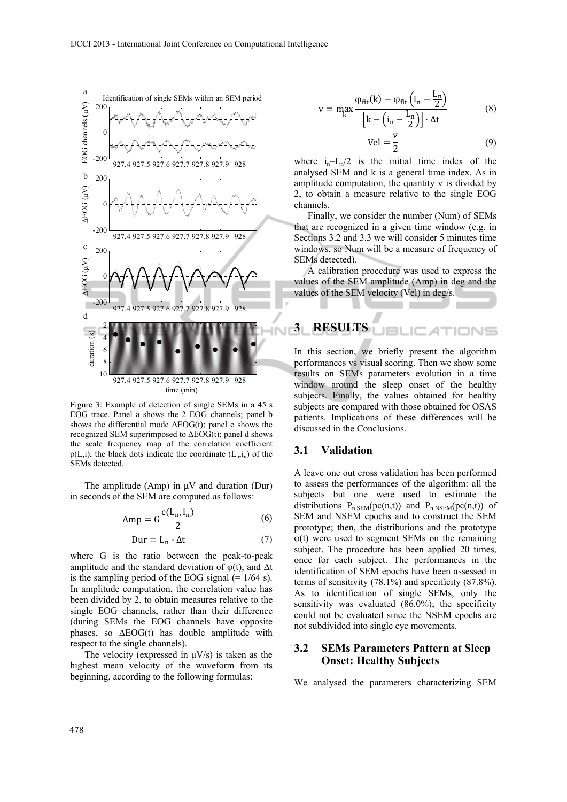

Figure 3: Example of detection of single SEMs in a 45 s EOG trace. Panel a shows the 2 EOG channels; panel b shows the differential mode  $\Delta EOG(t)$ ; panel c shows the recognized SEM superimposed to  $\triangle EOG(t)$ ; panel d shows the scale frequency map of the correlation coefficient  $\rho(L,i)$ ; the black dots indicate the coordinate  $(L_n,i_n)$  of the SEMs detected.

The amplitude (Amp) in μV and duration (Dur) in seconds of the SEM are computed as follows:

$$
Amp = G \frac{c(L_n, i_n)}{2}
$$
 (6)

$$
Dur = L_n \cdot \Delta t \tag{7}
$$

where G is the ratio between the peak-to-peak amplitude and the standard deviation of  $\varphi(t)$ , and  $\Delta t$ is the sampling period of the EOG signal  $(= 1/64 \text{ s})$ . In amplitude computation, the correlation value has been divided by 2, to obtain measures relative to the single EOG channels, rather than their difference (during SEMs the EOG channels have opposite phases, so  $\triangle EOG(t)$  has double amplitude with respect to the single channels).

The velocity (expressed in  $\mu$ V/s) is taken as the highest mean velocity of the waveform from its beginning, according to the following formulas:

$$
v = \max_{k} \frac{\varphi_{fit}(k) - \varphi_{fit}\left(i_n - \frac{L_n}{2}\right)}{\left[k - \left(i_n - \frac{L_n}{2}\right)\right] \cdot \Delta t}
$$
(8)

$$
Vel = \frac{1}{2} \tag{9}
$$

where  $i_n-L_n/2$  is the initial time index of the analysed SEM and k is a general time index. As in amplitude computation, the quantity v is divided by 2, to obtain a measure relative to the single EOG channels.

Finally, we consider the number (Num) of SEMs that are recognized in a given time window (e.g. in Sections 3.2 and 3.3 we will consider 5 minutes time windows, so Num will be a measure of frequency of SEMs detected).

A calibration procedure was used to express the values of the SEM amplitude (Amp) in deg and the values of the SEM velocity (Vel) in deg/s.

**3 RESULTS**   $I = I$ IONS

In this section, we briefly present the algorithm performances vs visual scoring. Then we show some results on SEMs parameters evolution in a time window around the sleep onset of the healthy subjects. Finally, the values obtained for healthy subjects are compared with those obtained for OSAS patients. Implications of these differences will be discussed in the Conclusions.

#### **3.1 Validation**

A leave one out cross validation has been performed to assess the performances of the algorithm: all the subjects but one were used to estimate the distributions  $P_{n,SEM}(pc(n,t))$  and  $P_{n,NSEM}(pc(n,t))$  of SEM and NSEM epochs and to construct the SEM prototype; then, the distributions and the prototype φ(t) were used to segment SEMs on the remaining subject. The procedure has been applied 20 times, once for each subject. The performances in the identification of SEM epochs have been assessed in terms of sensitivity (78.1%) and specificity (87.8%). As to identification of single SEMs, only the sensitivity was evaluated (86.0%); the specificity could not be evaluated since the NSEM epochs are not subdivided into single eye movements.

#### **3.2 SEMs Parameters Pattern at Sleep Onset: Healthy Subjects**

We analysed the parameters characterizing SEM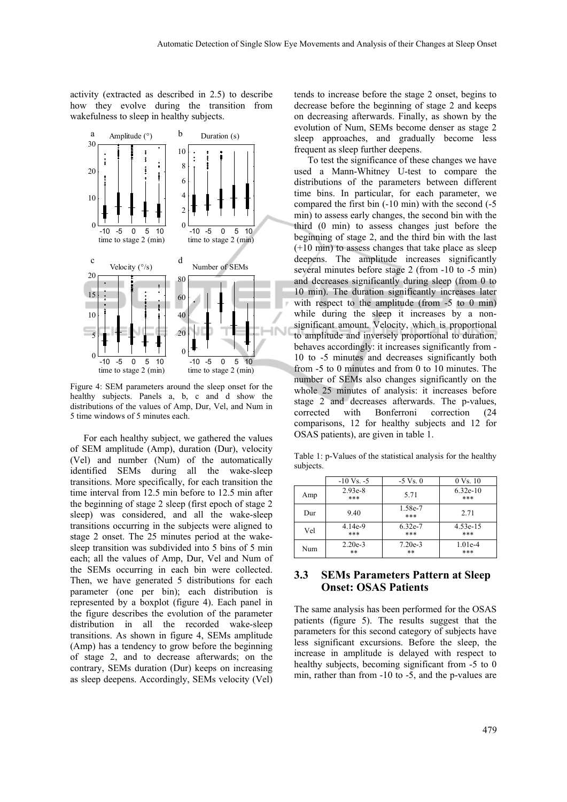activity (extracted as described in 2.5) to describe how they evolve during the transition from wakefulness to sleep in healthy subjects.



Figure 4: SEM parameters around the sleep onset for the healthy subjects. Panels a, b, c and d show the distributions of the values of Amp, Dur, Vel, and Num in 5 time windows of 5 minutes each.

For each healthy subject, we gathered the values of SEM amplitude (Amp), duration (Dur), velocity (Vel) and number (Num) of the automatically identified SEMs during all the wake-sleep transitions. More specifically, for each transition the time interval from 12.5 min before to 12.5 min after the beginning of stage 2 sleep (first epoch of stage 2 sleep) was considered, and all the wake-sleep transitions occurring in the subjects were aligned to stage 2 onset. The 25 minutes period at the wakesleep transition was subdivided into 5 bins of 5 min each; all the values of Amp, Dur, Vel and Num of the SEMs occurring in each bin were collected. Then, we have generated 5 distributions for each parameter (one per bin); each distribution is represented by a boxplot (figure 4). Each panel in the figure describes the evolution of the parameter distribution in all the recorded wake-sleep transitions. As shown in figure 4, SEMs amplitude (Amp) has a tendency to grow before the beginning of stage 2, and to decrease afterwards; on the contrary, SEMs duration (Dur) keeps on increasing as sleep deepens. Accordingly, SEMs velocity (Vel)

tends to increase before the stage 2 onset, begins to decrease before the beginning of stage 2 and keeps on decreasing afterwards. Finally, as shown by the evolution of Num, SEMs become denser as stage 2 sleep approaches, and gradually become less frequent as sleep further deepens.

To test the significance of these changes we have used a Mann-Whitney U-test to compare the distributions of the parameters between different time bins. In particular, for each parameter, we compared the first bin (-10 min) with the second (-5 min) to assess early changes, the second bin with the third (0 min) to assess changes just before the beginning of stage 2, and the third bin with the last (+10 min) to assess changes that take place as sleep deepens. The amplitude increases significantly several minutes before stage 2 (from -10 to -5 min) and decreases significantly during sleep (from 0 to 10 min). The duration significantly increases later with respect to the amplitude (from -5 to 0 min) while during the sleep it increases by a nonsignificant amount. Velocity, which is proportional to amplitude and inversely proportional to duration, behaves accordingly: it increases significantly from - 10 to -5 minutes and decreases significantly both from -5 to 0 minutes and from 0 to 10 minutes. The number of SEMs also changes significantly on the whole 25 minutes of analysis: it increases before stage 2 and decreases afterwards. The p-values, corrected with Bonferroni correction (24 comparisons, 12 for healthy subjects and 12 for OSAS patients), are given in table 1.

Table 1: p-Values of the statistical analysis for the healthy subjects.

|     | $-10 \text{ Vs.} -5$ | $-5 \text{ Vs}$ . 0 | $0 \text{ Vs}$ , 10 |
|-----|----------------------|---------------------|---------------------|
| Amp | $2.93e-8$<br>***     | 5.71                | $6.32e-10$<br>***   |
| Dur | 9.40                 | 1.58e-7<br>***      | 2.71                |
| Vel | $4.14e-9$<br>***     | 6.32e-7<br>***      | 4.53e-15<br>***     |
| Num | $2.20e-3$<br>$***$   | $7.20e-3$<br>$**$   | $1.01e-4$<br>***    |

### **3.3 SEMs Parameters Pattern at Sleep Onset: OSAS Patients**

The same analysis has been performed for the OSAS patients (figure 5). The results suggest that the parameters for this second category of subjects have less significant excursions. Before the sleep, the increase in amplitude is delayed with respect to healthy subjects, becoming significant from -5 to 0 min, rather than from -10 to -5, and the p-values are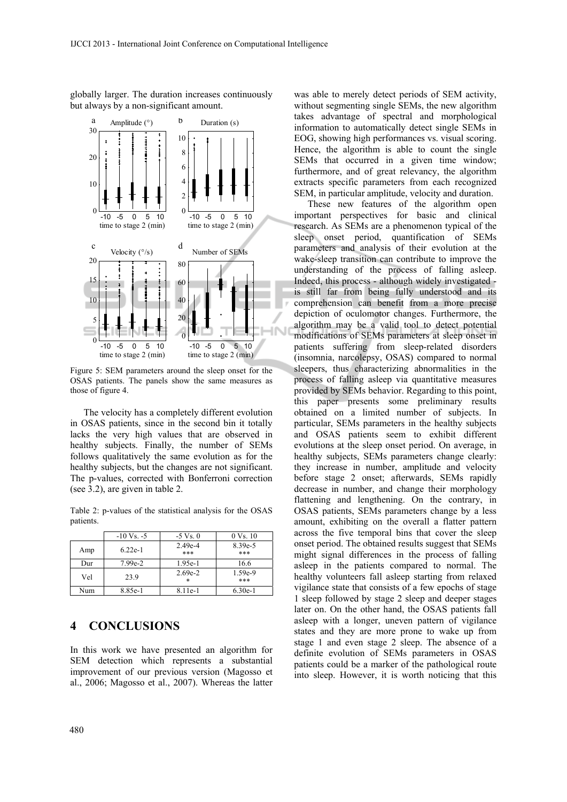globally larger. The duration increases continuously but always by a non-significant amount.



Figure 5: SEM parameters around the sleep onset for the OSAS patients. The panels show the same measures as those of figure 4.

The velocity has a completely different evolution in OSAS patients, since in the second bin it totally lacks the very high values that are observed in healthy subjects. Finally, the number of SEMs follows qualitatively the same evolution as for the healthy subjects, but the changes are not significant. The p-values, corrected with Bonferroni correction (see 3.2), are given in table 2.

Table 2: p-values of the statistical analysis for the OSAS patients.

|     | $-10 \text{ Vs.} -5$ | $-5 \text{ Vs}$ . 0 | $0 \text{ V}$ s. 10 |
|-----|----------------------|---------------------|---------------------|
| Amp | $6.22e-1$            | $2.49e-4$<br>***    | 8.39e-5<br>***      |
| Dur | $7.99e-2$            | 1.95e-1             | 16.6                |
| Vel | 23.9                 | $2.69e-2$<br>$\ast$ | 1.59e-9<br>***      |
| Num | 8.85e-1              | 8.11e-1             | $6.30e-1$           |

## **4 CONCLUSIONS**

In this work we have presented an algorithm for SEM detection which represents a substantial improvement of our previous version (Magosso et al., 2006; Magosso et al., 2007). Whereas the latter was able to merely detect periods of SEM activity, without segmenting single SEMs, the new algorithm takes advantage of spectral and morphological information to automatically detect single SEMs in EOG, showing high performances vs. visual scoring. Hence, the algorithm is able to count the single SEMs that occurred in a given time window; furthermore, and of great relevancy, the algorithm extracts specific parameters from each recognized SEM, in particular amplitude, velocity and duration.

These new features of the algorithm open important perspectives for basic and clinical research. As SEMs are a phenomenon typical of the sleep onset period, quantification of SEMs parameters and analysis of their evolution at the wake-sleep transition can contribute to improve the understanding of the process of falling asleep. Indeed, this process - although widely investigated is still far from being fully understood and its comprehension can benefit from a more precise depiction of oculomotor changes. Furthermore, the algorithm may be a valid tool to detect potential modifications of SEMs parameters at sleep onset in patients suffering from sleep-related disorders (insomnia, narcolepsy, OSAS) compared to normal sleepers, thus characterizing abnormalities in the process of falling asleep via quantitative measures provided by SEMs behavior. Regarding to this point, this paper presents some preliminary results obtained on a limited number of subjects. In particular, SEMs parameters in the healthy subjects and OSAS patients seem to exhibit different evolutions at the sleep onset period. On average, in healthy subjects, SEMs parameters change clearly: they increase in number, amplitude and velocity before stage 2 onset; afterwards, SEMs rapidly decrease in number, and change their morphology flattening and lengthening. On the contrary, in OSAS patients, SEMs parameters change by a less amount, exhibiting on the overall a flatter pattern across the five temporal bins that cover the sleep onset period. The obtained results suggest that SEMs might signal differences in the process of falling asleep in the patients compared to normal. The healthy volunteers fall asleep starting from relaxed vigilance state that consists of a few epochs of stage 1 sleep followed by stage 2 sleep and deeper stages later on. On the other hand, the OSAS patients fall asleep with a longer, uneven pattern of vigilance states and they are more prone to wake up from stage 1 and even stage 2 sleep. The absence of a definite evolution of SEMs parameters in OSAS patients could be a marker of the pathological route into sleep. However, it is worth noticing that this